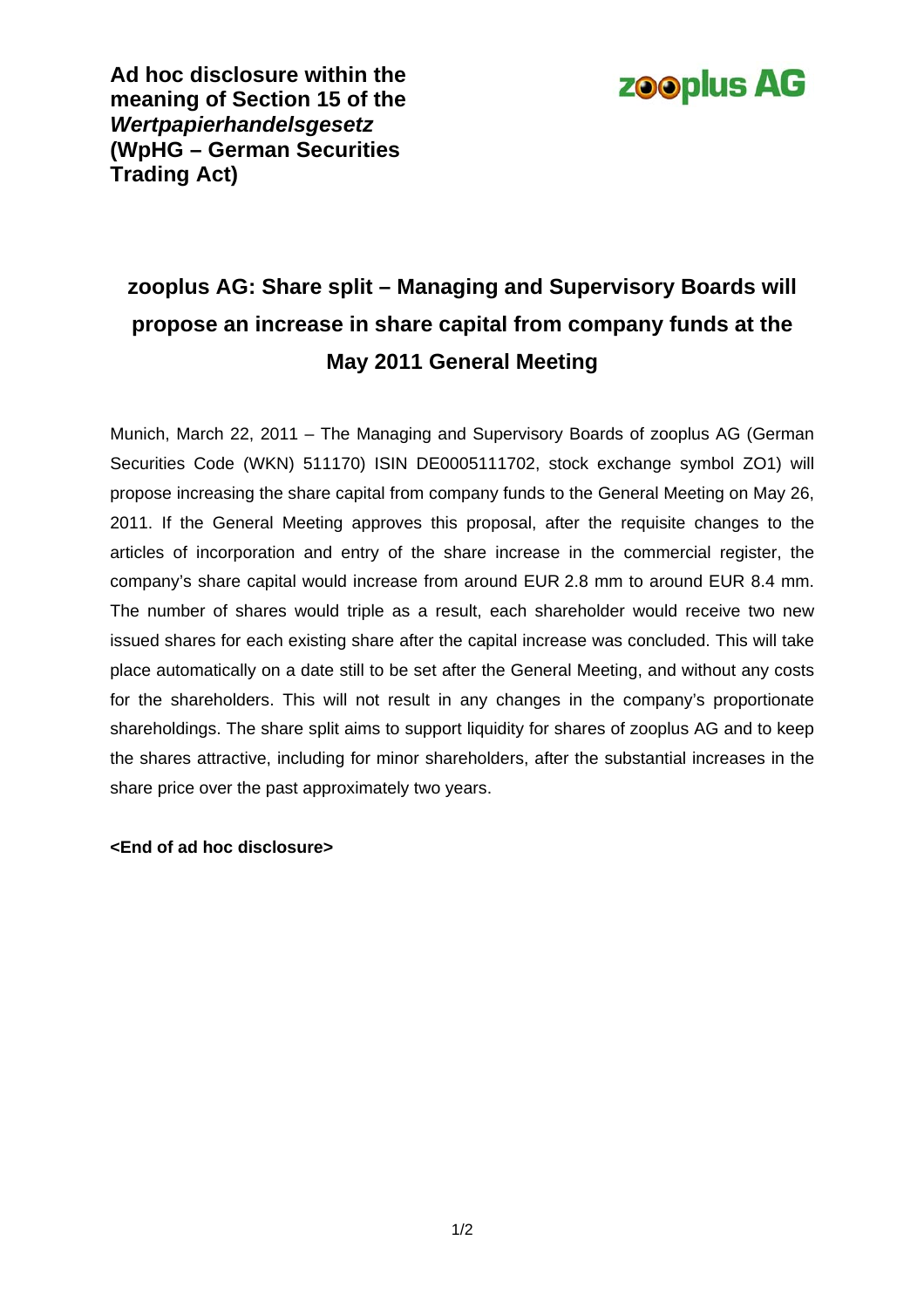

**Ad hoc disclosure within the meaning of Section 15 of the**  *Wertpapierhandelsgesetz* **(WpHG – German Securities Trading Act)** 

## **zooplus AG: Share split – Managing and Supervisory Boards will propose an increase in share capital from company funds at the May 2011 General Meeting**

Munich, March 22, 2011 – The Managing and Supervisory Boards of zooplus AG (German Securities Code (WKN) 511170) ISIN DE0005111702, stock exchange symbol ZO1) will propose increasing the share capital from company funds to the General Meeting on May 26, 2011. If the General Meeting approves this proposal, after the requisite changes to the articles of incorporation and entry of the share increase in the commercial register, the company's share capital would increase from around EUR 2.8 mm to around EUR 8.4 mm. The number of shares would triple as a result, each shareholder would receive two new issued shares for each existing share after the capital increase was concluded. This will take place automatically on a date still to be set after the General Meeting, and without any costs for the shareholders. This will not result in any changes in the company's proportionate shareholdings. The share split aims to support liquidity for shares of zooplus AG and to keep the shares attractive, including for minor shareholders, after the substantial increases in the share price over the past approximately two years.

## **<End of ad hoc disclosure>**